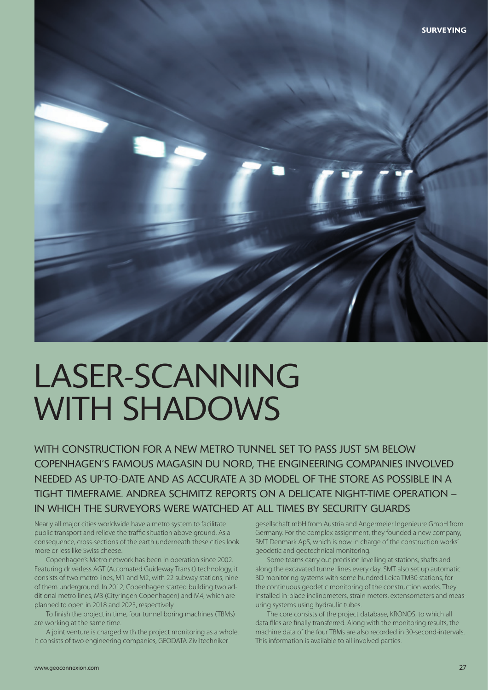

# LASER-SCANNING WITH SHADOWS

WITH CONSTRUCTION FOR A NEW METRO TUNNEL SET TO PASS JUST 5M BELOW COPENHAGEN'S FAMOUS MAGASIN DU NORD, THE ENGINEERING COMPANIES INVOLVED NEEDED AS UP-TO-DATE AND AS ACCURATE A 3D MODEL OF THE STORE AS POSSIBLE IN A TIGHT TIMEFRAME. ANDREA SCHMITZ REPORTS ON A DELICATE NIGHT-TIME OPERATION – IN WHICH THE SURVEYORS WERE WATCHED AT ALL TIMES BY SECURITY GUARDS

Nearly all major cities worldwide have a metro system to facilitate public transport and relieve the traffic situation above ground. As a consequence, cross-sections of the earth underneath these cities look more or less like Swiss cheese.

Copenhagen's Metro network has been in operation since 2002. Featuring driverless AGT (Automated Guideway Transit) technology, it consists of two metro lines, M1 and M2, with 22 subway stations, nine of them underground. In 2012, Copenhagen started building two additional metro lines, M3 (Cityringen Copenhagen) and M4, which are planned to open in 2018 and 2023, respectively.

To finish the project in time, four tunnel boring machines (TBMs) are working at the same time.

A joint venture is charged with the project monitoring as a whole. It consists of two engineering companies, GEODATA Ziviltechnikergesellschaft mbH from Austria and Angermeier Ingenieure GmbH from Germany. For the complex assignment, they founded a new company, SMT Denmark ApS, which is now in charge of the construction works' geodetic and geotechnical monitoring.

Some teams carry out precision levelling at stations, shafts and along the excavated tunnel lines every day. SMT also set up automatic 3D monitoring systems with some hundred Leica TM30 stations, for the continuous geodetic monitoring of the construction works. They installed in-place inclinometers, strain meters, extensometers and measuring systems using hydraulic tubes.

The core consists of the project database, KRONOS, to which all data files are finally transferred. Along with the monitoring results, the machine data of the four TBMs are also recorded in 30-second-intervals. This information is available to all involved parties.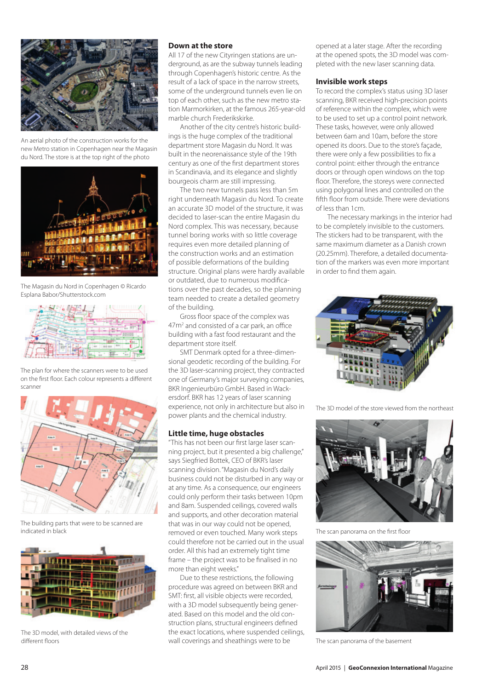

An aerial photo of the construction works for the new Metro station in Copenhagen near the Magasin du Nord. The store is at the top right of the photo



The Magasin du Nord in Copenhagen © Ricardo Esplana Babor/Shutterstock.com



The plan for where the scanners were to be used on the first floor. Each colour represents a different scanner



The building parts that were to be scanned are



The 3D model, with detailed views of the

#### **Down at the store**

All 17 of the new Cityringen stations are underground, as are the subway tunnels leading through Copenhagen's historic centre. As the result of a lack of space in the narrow streets, some of the underground tunnels even lie on top of each other, such as the new metro station Marmorkirken, at the famous 265-year-old marble church Frederikskirke.

Another of the city centre's historic buildings is the huge complex of the traditional department store Magasin du Nord. It was built in the neorenaissance style of the 19th century as one of the first department stores in Scandinavia, and its elegance and slightly bourgeois charm are still impressing.

The two new tunnels pass less than 5m right underneath Magasin du Nord. To create an accurate 3D model of the structure, it was decided to laser-scan the entire Magasin du Nord complex. This was necessary, because tunnel boring works with so little coverage requires even more detailed planning of the construction works and an estimation of possible deformations of the building structure. Original plans were hardly available or outdated, due to numerous modifications over the past decades, so the planning team needed to create a detailed geometry of the building.

Gross floor space of the complex was 47m<sup>2</sup> and consisted of a car park, an office building with a fast food restaurant and the department store itself.

SMT Denmark opted for a three-dimensional geodetic recording of the building. For the 3D laser-scanning project, they contracted one of Germany's major surveying companies, BKR Ingenieurbüro GmbH. Based in Wackersdorf. BKR has 12 years of laser scanning experience, not only in architecture but also in power plants and the chemical industry.

#### **Little time, huge obstacles**

"This has not been our first large laser scanning project, but it presented a big challenge," says Siegfried Bottek, CEO of BKR's laser scanning division. "Magasin du Nord's daily business could not be disturbed in any way or at any time. As a consequence, our engineers could only perform their tasks between 10pm and 8am. Suspended ceilings, covered walls and supports, and other decoration material that was in our way could not be opened, indicated in black **indicated in the scan panorama** on the first floor on the first floor on the first floor on the first floor on the first floor on the first floor on the first floor on the first floor on the first floor could therefore not be carried out in the usual order. All this had an extremely tight time frame – the project was to be finalised in no more than eight weeks."

Due to these restrictions, the following procedure was agreed on between BKR and SMT: first, all visible objects were recorded, with a 3D model subsequently being generated. Based on this model and the old construction plans, structural engineers defined the exact locations, where suspended ceilings, different floors **State and State and State and Science** and sheathings were to be The scan panorama of the basement

opened at a later stage. After the recording at the opened spots, the 3D model was completed with the new laser scanning data.

#### **Invisible work steps**

To record the complex's status using 3D laser scanning, BKR received high-precision points of reference within the complex, which were to be used to set up a control point network. These tasks, however, were only allowed between 6am and 10am, before the store opened its doors. Due to the store's façade, there were only a few possibilities to fix a control point: either through the entrance doors or through open windows on the top floor. Therefore, the storeys were connected using polygonal lines and controlled on the fifth floor from outside. There were deviations of less than 1cm.

The necessary markings in the interior had to be completely invisible to the customers. The stickers had to be transparent, with the same maximum diameter as a Danish crown (20.25mm). Therefore, a detailed documentation of the markers was even more important in order to find them again.



The 3D model of the store viewed from the northeast